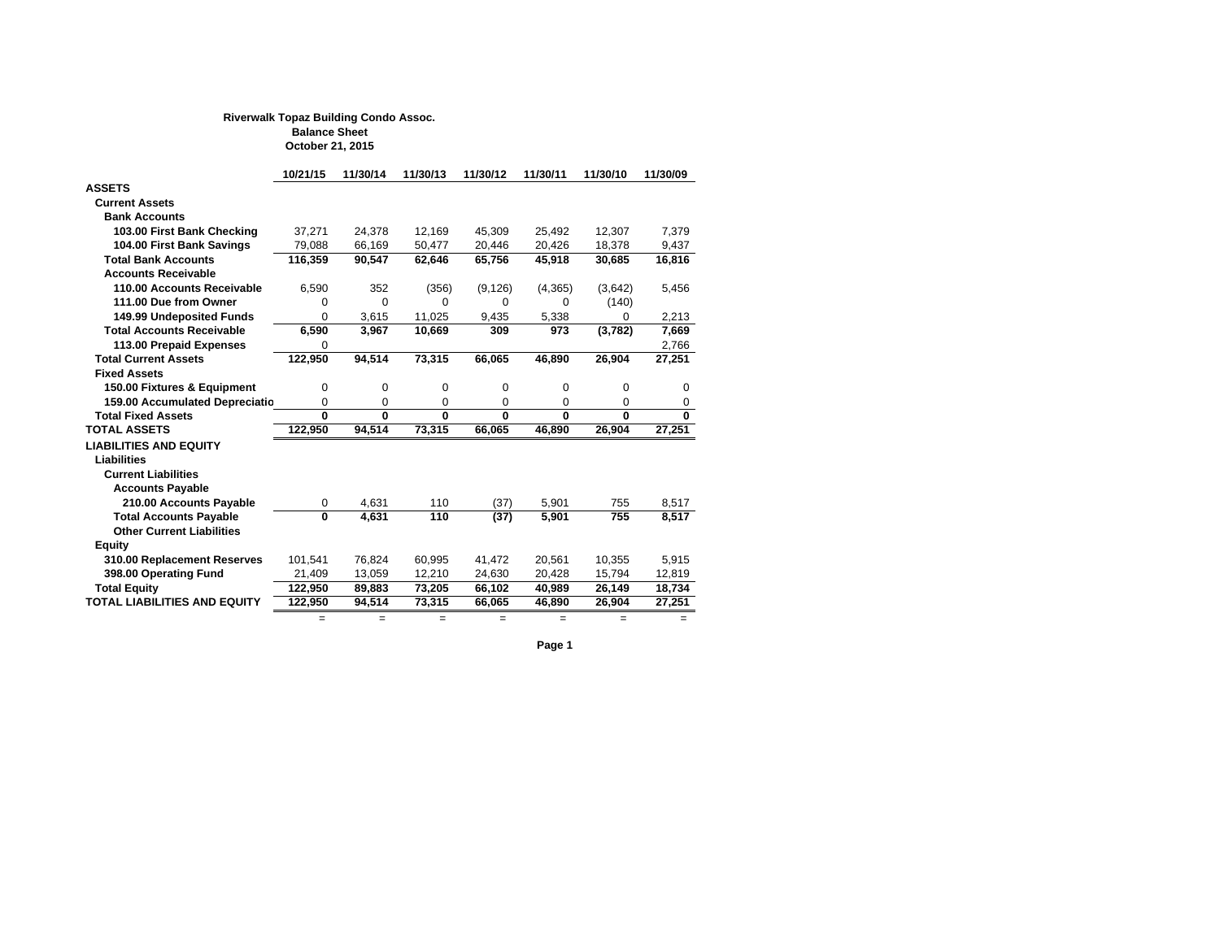## **Riverwalk Topaz Building Condo Assoc.**

**Balance Sheet October 21, 2015**

|                                     | 10/21/15     | 11/30/14 | 11/30/13 | 11/30/12 | 11/30/11 | 11/30/10 | 11/30/09     |
|-------------------------------------|--------------|----------|----------|----------|----------|----------|--------------|
| <b>ASSETS</b>                       |              |          |          |          |          |          |              |
| <b>Current Assets</b>               |              |          |          |          |          |          |              |
| <b>Bank Accounts</b>                |              |          |          |          |          |          |              |
| 103.00 First Bank Checking          | 37,271       | 24,378   | 12,169   | 45,309   | 25,492   | 12,307   | 7,379        |
| 104.00 First Bank Savings           | 79,088       | 66.169   | 50.477   | 20,446   | 20.426   | 18,378   | 9,437        |
| <b>Total Bank Accounts</b>          | 116,359      | 90,547   | 62,646   | 65,756   | 45,918   | 30,685   | 16,816       |
| <b>Accounts Receivable</b>          |              |          |          |          |          |          |              |
| 110.00 Accounts Receivable          | 6.590        | 352      | (356)    | (9, 126) | (4,365)  | (3,642)  | 5,456        |
| 111.00 Due from Owner               | 0            | $\Omega$ | $\Omega$ | $\Omega$ | $\Omega$ | (140)    |              |
| 149.99 Undeposited Funds            | $\Omega$     | 3.615    | 11,025   | 9,435    | 5,338    | 0        | 2.213        |
| <b>Total Accounts Receivable</b>    | 6,590        | 3,967    | 10,669   | 309      | 973      | (3,782)  | 7,669        |
| 113.00 Prepaid Expenses             | $\mathbf 0$  |          |          |          |          |          | 2,766        |
| <b>Total Current Assets</b>         | 122,950      | 94,514   | 73,315   | 66,065   | 46,890   | 26,904   | 27,251       |
| <b>Fixed Assets</b>                 |              |          |          |          |          |          |              |
| 150.00 Fixtures & Equipment         | $\Omega$     | $\Omega$ | $\Omega$ | $\Omega$ | $\Omega$ | 0        | $\mathbf 0$  |
| 159.00 Accumulated Depreciatio      | 0            | 0        | 0        | 0        | 0        | 0        | 0            |
| <b>Total Fixed Assets</b>           | $\mathbf{0}$ | $\Omega$ | 0        | $\Omega$ | $\Omega$ | $\Omega$ | $\mathbf{0}$ |
| <b>TOTAL ASSETS</b>                 | 122,950      | 94,514   | 73,315   | 66,065   | 46,890   | 26,904   | 27,251       |
| <b>LIABILITIES AND EQUITY</b>       |              |          |          |          |          |          |              |
| Liabilities                         |              |          |          |          |          |          |              |
| <b>Current Liabilities</b>          |              |          |          |          |          |          |              |
| <b>Accounts Payable</b>             |              |          |          |          |          |          |              |
| 210.00 Accounts Payable             | 0            | 4.631    | 110      | (37)     | 5,901    | 755      | 8,517        |
| <b>Total Accounts Payable</b>       | $\mathbf{0}$ | 4.631    | 110      | (37)     | 5.901    | 755      | 8,517        |
| <b>Other Current Liabilities</b>    |              |          |          |          |          |          |              |
| <b>Equity</b>                       |              |          |          |          |          |          |              |
| 310.00 Replacement Reserves         | 101,541      | 76,824   | 60,995   | 41,472   | 20,561   | 10,355   | 5,915        |
| 398.00 Operating Fund               | 21,409       | 13,059   | 12,210   | 24,630   | 20,428   | 15,794   | 12,819       |
| <b>Total Equity</b>                 | 122.950      | 89.883   | 73.205   | 66.102   | 40.989   | 26.149   | 18,734       |
| <b>TOTAL LIABILITIES AND EQUITY</b> | 122,950      | 94,514   | 73,315   | 66,065   | 46,890   | 26,904   | 27,251       |
|                                     | $=$          | $=$      | $=$      | $=$      | $=$      | $=$      | $=$          |

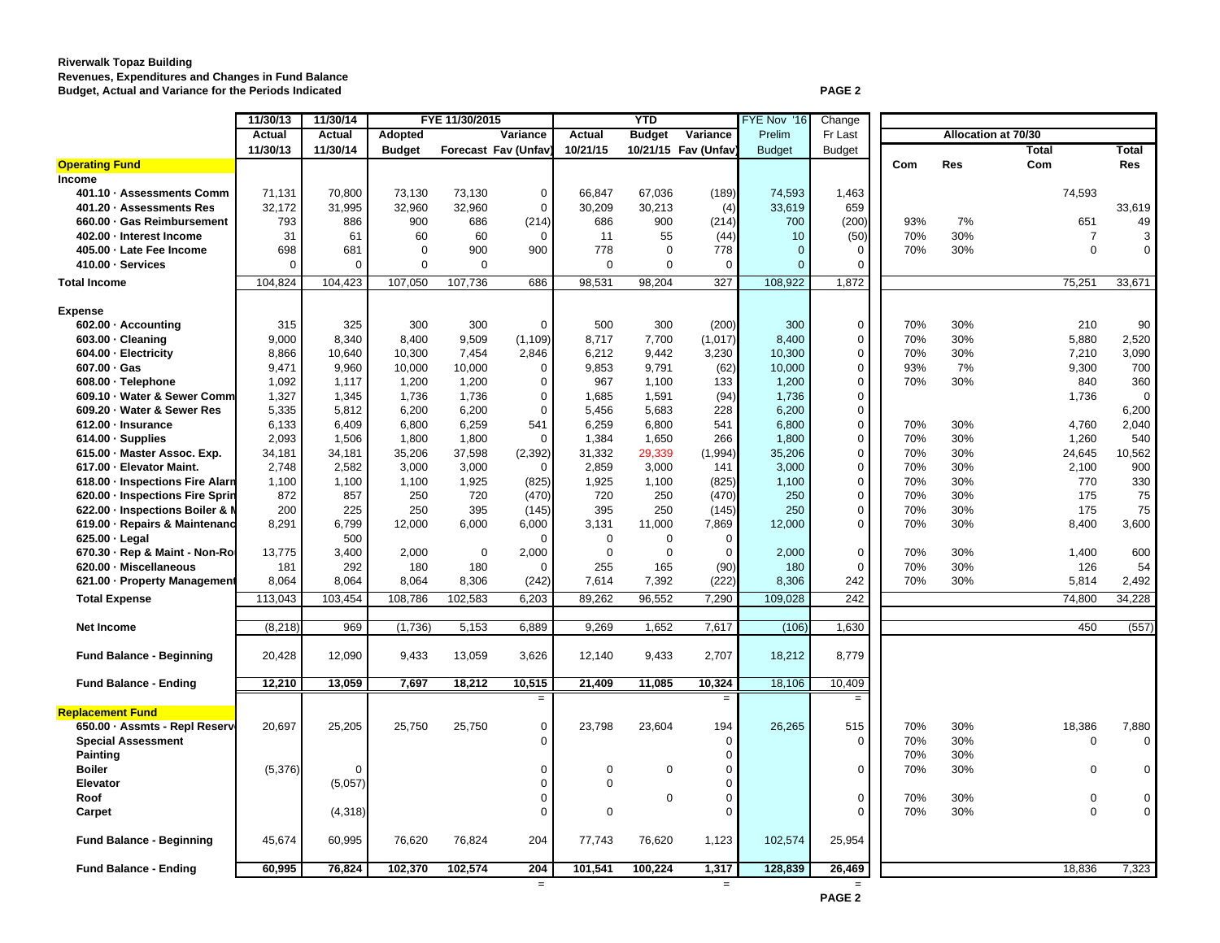## **Riverwalk Topaz Building Revenues, Expenditures and Changes in Fund Balance Budget, Actual and Variance for the Periods Indicated PAGE 2**

|                                                          | 11/30/13      | 11/30/14     |                | FYE 11/30/2015 |                             | <b>YTD</b>                 |                         |                         | FYE Nov '16   | Change        |     |            |                            |             |
|----------------------------------------------------------|---------------|--------------|----------------|----------------|-----------------------------|----------------------------|-------------------------|-------------------------|---------------|---------------|-----|------------|----------------------------|-------------|
|                                                          | Actual        | Actual       | <b>Adopted</b> |                | Variance                    | Actual                     | <b>Budget</b>           | Variance                | Prelim        | Fr Last       |     |            | <b>Allocation at 70/30</b> |             |
|                                                          | 11/30/13      | 11/30/14     | <b>Budget</b>  |                | <b>Forecast Fav (Unfav)</b> | 10/21/15                   |                         | 10/21/15 Fav (Unfav     | <b>Budget</b> | <b>Budget</b> |     |            | Total                      | Total       |
| <b>Operating Fund</b>                                    |               |              |                |                |                             |                            |                         |                         |               |               | Com | <b>Res</b> | Com                        | <b>Res</b>  |
| <b>Income</b>                                            |               |              |                |                |                             |                            |                         |                         |               |               |     |            |                            |             |
| 401.10 · Assessments Comm                                | 71,131        | 70,800       | 73,130         | 73,130         | $\mathbf 0$                 | 66.847                     | 67.036                  | (189)                   | 74,593        | 1,463         |     |            | 74,593                     |             |
| 401.20 · Assessments Res                                 | 32,172        | 31,995       | 32,960         | 32,960         | $\mathbf 0$                 | 30,209                     | 30,213                  | (4)                     | 33,619        | 659           |     |            |                            | 33,619      |
| 660.00 · Gas Reimbursement                               | 793           | 886          | 900            | 686            | (214)                       | 686                        | 900                     | (214)                   | 700           | (200)         | 93% | 7%         | 651                        | 49          |
| 402.00 - Interest Income                                 | 31            | 61           | 60             | 60             | $\Omega$                    | 11                         | 55                      | (44)                    | 10            | (50)          | 70% | 30%        | $\overline{7}$             | 3           |
| 405.00 - Late Fee Income                                 | 698           | 681          | $\mathbf 0$    | 900            | 900                         | 778                        | $\mathbf 0$             | 778                     | $\mathbf{0}$  | $\mathbf 0$   | 70% | 30%        | $\Omega$                   | $\mathbf 0$ |
| 410.00 · Services                                        | $\Omega$      | $\Omega$     | $\Omega$       | $\Omega$       |                             | $\Omega$                   | $\mathbf 0$             | $\mathbf 0$             | $\Omega$      | $\mathbf 0$   |     |            |                            |             |
| <b>Total Income</b>                                      | 104,824       | 104,423      | 107,050        | 107,736        | 686                         | 98,531                     | 98,204                  | 327                     | 108,922       | 1,872         |     |            | 75,251                     | 33,671      |
|                                                          |               |              |                |                |                             |                            |                         |                         |               |               |     |            |                            |             |
| <b>Expense</b>                                           |               |              |                |                |                             |                            |                         |                         |               |               |     |            |                            |             |
| 602.00 · Accounting                                      | 315           | 325          | 300            | 300            | $\Omega$                    | 500                        | 300                     | (200)                   | 300           | $\mathbf 0$   | 70% | 30%        | 210                        | 90          |
| 603.00 - Cleaning                                        | 9,000         | 8,340        | 8,400          | 9,509          | (1, 109)                    | 8,717                      | 7,700                   | (1,017)                 | 8,400         | 0             | 70% | 30%        | 5,880                      | 2,520       |
| 604.00 - Electricity                                     | 8,866         | 10,640       | 10,300         | 7,454          | 2,846                       | 6,212                      | 9.442                   | 3,230                   | 10,300        | 0             | 70% | 30%        | 7,210                      | 3,090       |
| $607.00 \cdot Gas$                                       | 9,471         | 9,960        | 10,000         | 10,000         | $\mathbf 0$                 | 9,853                      | 9,791                   | (62)                    | 10,000        | 0             | 93% | 7%         | 9,300                      | 700         |
| 608.00 · Telephone                                       | 1,092         | 1,117        | 1,200          | 1,200          | $\Omega$                    | 967                        | 1.100                   | 133                     | 1,200         | 0             | 70% | 30%        | 840                        | 360         |
| 609.10 · Water & Sewer Comm                              | 1,327         | 1,345        | 1,736          | 1,736          | $\mathbf 0$                 | 1,685                      | 1,591                   | (94)                    | 1,736         | 0             |     |            | 1,736                      | $\mathbf 0$ |
| 609.20 · Water & Sewer Res                               | 5,335         | 5,812        | 6,200          | 6,200          | $\Omega$                    | 5,456                      | 5.683                   | 228                     | 6,200         | 0             |     |            |                            | 6,200       |
| 612.00 - Insurance                                       | 6,133         | 6,409        | 6,800          | 6,259          | 541                         | 6,259                      | 6,800                   | 541                     | 6,800         | 0             | 70% | 30%        | 4,760                      | 2,040       |
| 614.00 · Supplies                                        | 2,093         | 1,506        | 1,800          | 1,800          | $\Omega$                    | 1,384                      | 1,650                   | 266                     | 1,800         | 0             | 70% | 30%        | 1,260                      | 540         |
| 615.00 - Master Assoc. Exp.                              | 34,181        | 34,181       | 35,206         | 37,598         | (2, 392)                    | 31,332                     | 29,339                  | (1, 994)                | 35,206        | 0             | 70% | 30%        | 24,645                     | 10,562      |
| 617.00 - Elevator Maint.                                 | 2,748         | 2,582        | 3,000          | 3,000          | $\Omega$                    | 2,859                      | 3,000                   | 141                     | 3,000         | 0             | 70% | 30%        | 2,100                      | 900         |
| 618.00 - Inspections Fire Alarn                          | 1,100         | 1,100        | 1,100          | 1,925          | (825)                       | 1.925                      | 1,100                   | (825)                   | 1,100         | 0             | 70% | 30%        | 770                        | 330         |
| 620.00 · Inspections Fire Sprin                          | 872           | 857          | 250            | 720            | (470)                       | 720                        | 250                     | (470)                   | 250           | $\mathbf 0$   | 70% | 30%        | 175                        | 75          |
| 622.00 · Inspections Boiler & M                          | 200           | 225          | 250            | 395            | (145)                       | 395                        | 250                     | (145)                   | 250           | $\mathbf 0$   | 70% | 30%        | 175                        | 75          |
| 619.00 · Repairs & Maintenanc                            | 8,291         | 6,799        | 12,000         | 6,000          | 6,000<br>$\Omega$           | 3,131                      | 11,000                  | 7,869                   | 12,000        | $\mathbf 0$   | 70% | 30%        | 8,400                      | 3,600       |
| $625.00 \cdot$ Legal                                     |               | 500<br>3,400 | 2,000          | $\Omega$       |                             | $\mathbf 0$<br>$\mathbf 0$ | $\mathbf 0$<br>$\Omega$ | $\mathbf 0$<br>$\Omega$ | 2,000         | $\Omega$      | 70% | 30%        |                            | 600         |
| 670.30 - Rep & Maint - Non-Rol<br>620.00 · Miscellaneous | 13,775<br>181 | 292          | 180            | 180            | 2,000<br>$\mathbf 0$        | 255                        | 165                     | (90)                    | 180           | 0             | 70% | 30%        | 1,400<br>126               | 54          |
| 621.00 · Property Management                             | 8,064         | 8,064        | 8,064          | 8,306          | (242)                       | 7,614                      | 7,392                   | (222)                   | 8,306         | 242           | 70% | 30%        | 5,814                      | 2,492       |
|                                                          |               |              |                |                |                             |                            |                         |                         |               |               |     |            |                            |             |
| <b>Total Expense</b>                                     | 113,043       | 103,454      | 108,786        | 102,583        | 6,203                       | 89,262                     | 96,552                  | 7,290                   | 109,028       | 242           |     |            | 74,800                     | 34,228      |
|                                                          |               |              |                |                |                             |                            |                         |                         | (106)         |               |     |            | 450                        |             |
| <b>Net Income</b>                                        | (8, 218)      | 969          | (1,736)        | 5,153          | 6,889                       | 9,269                      | 1,652                   | 7,617                   |               | 1,630         |     |            |                            | (557)       |
|                                                          | 20,428        | 12,090       | 9,433          | 13,059         | 3,626                       | 12,140                     | 9,433                   | 2,707                   | 18,212        | 8,779         |     |            |                            |             |
| <b>Fund Balance - Beginning</b>                          |               |              |                |                |                             |                            |                         |                         |               |               |     |            |                            |             |
| <b>Fund Balance - Ending</b>                             | 12,210        | 13,059       | 7,697          | 18,212         | 10,515                      | 21,409                     | 11,085                  | 10,324                  | 18,106        | 10,409        |     |            |                            |             |
|                                                          |               |              |                |                | $=$                         |                            |                         | $=$                     |               | $=$           |     |            |                            |             |
| <b>Replacement Fund</b>                                  |               |              |                |                |                             |                            |                         |                         |               |               |     |            |                            |             |
| 650.00 · Assmts - Repl Reserv                            | 20,697        | 25,205       | 25,750         | 25,750         | $\mathbf 0$                 | 23,798                     | 23,604                  | 194                     | 26,265        | 515           | 70% | 30%        | 18,386                     | 7,880       |
| <b>Special Assessment</b>                                |               |              |                |                | $\Omega$                    |                            |                         | $\mathbf 0$             |               | 0             | 70% | 30%        | $\Omega$                   | 0           |
| <b>Painting</b>                                          |               |              |                |                |                             |                            |                         | $\mathbf 0$             |               |               | 70% | 30%        |                            |             |
| <b>Boiler</b>                                            | (5,376)       |              |                |                | $\mathbf 0$                 | $\Omega$                   | $\mathbf 0$             | $\mathbf 0$             |               | $\mathbf 0$   | 70% | 30%        | $\Omega$                   | 0           |
| Elevator                                                 |               | (5,057)      |                |                | $\mathbf 0$                 | $\Omega$                   |                         | $\mathbf 0$             |               |               |     |            |                            |             |
| Roof                                                     |               |              |                |                | $\Omega$                    |                            | $\mathbf 0$             | $\mathbf 0$             |               | 0             | 70% | 30%        | $\mathbf 0$                | 0           |
| Carpet                                                   |               | (4, 318)     |                |                | $\Omega$                    | $\Omega$                   |                         | $\mathbf 0$             |               | $\Omega$      | 70% | 30%        | $\Omega$                   | 0           |
|                                                          |               |              |                |                |                             |                            |                         |                         |               |               |     |            |                            |             |
| <b>Fund Balance - Beginning</b>                          | 45,674        | 60,995       | 76,620         | 76,824         | 204                         | 77,743                     | 76,620                  | 1,123                   | 102,574       | 25,954        |     |            |                            |             |
|                                                          |               |              |                |                |                             |                            |                         |                         |               |               |     |            |                            |             |
| <b>Fund Balance - Ending</b>                             | 60,995        | 76,824       | 102,370        | 102,574        | 204                         | 101,541                    | 100,224                 | 1,317                   | 128,839       | 26,469        |     |            | 18,836                     | 7,323       |
|                                                          |               |              |                |                | $=$                         |                            |                         | $=$                     |               | $=$           |     |            |                            |             |

**PAGE 2**